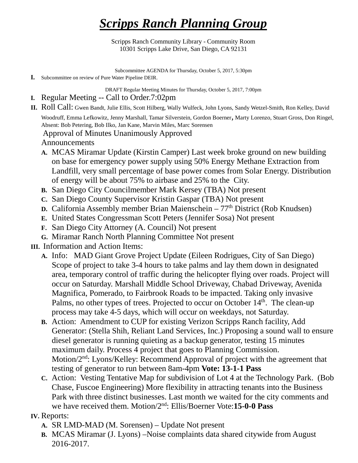## *Scripps Ranch Planning Group*

Scripps Ranch Community Library - Community Room 10301 Scripps Lake Drive, San Diego, CA 92131

Subcommittee AGENDA for Thursday, October 5, 2017, 5:30pm

**I.** Subcommittee on review of Pure Water Pipeline DEIR.

DRAFT Regular Meeting Minutes for Thursday, October 5, 2017, 7:00pm

- **I.** Regular Meeting -- Call to Order.7:02pm
- **II.** Roll Call: Gwen Bandt, Julie Ellis, Scott Hilberg, Wally Wulfeck, John Lyons, Sandy Wetzel-Smith, Ron Kelley, David

Woodruff, Emma Lefkowitz, Jenny Marshall, Tamar Silverstein, Gordon Boerner, Marty Lorenzo, Stuart Gross, Don Ringel, Absent: Bob Petering, Bob Ilko, Jan Kane, Marvin Miles, Marc Sorensen

Approval of Minutes Unanimously Approved

Announcements

- **A.** MCAS Miramar Update (Kirstin Camper) Last week broke ground on new building on base for emergency power supply using 50% Energy Methane Extraction from Landfill, very small percentage of base power comes from Solar Energy. Distribution of energy will be about 75% to airbase and 25% to the City.
- **B.** San Diego City Councilmember Mark Kersey (TBA) Not present
- **C.** San Diego County Supervisor Kristin Gaspar (TBA) Not present
- **D.** California Assembly member Brian Maienschein 77<sup>th</sup> District (Rob Knudsen)
- **E.** United States Congressman Scott Peters (Jennifer Sosa) Not present
- **F.** San Diego City Attorney (A. Council) Not present
- **G.** Miramar Ranch North Planning Committee Not present
- **III.** Information and Action Items:
	- **A.** Info: MAD Giant Grove Project Update (Eileen Rodrigues, City of San Diego) Scope of project to take 3-4 hours to take palms and lay them down in designated area, temporary control of traffic during the helicopter flying over roads. Project will occur on Saturday. Marshall Middle School Driveway, Chabad Driveway, Avenida Magnifica, Pomerado, to Fairbrook Roads to be impacted. Taking only invasive Palms, no other types of trees. Projected to occur on October 14<sup>th</sup>. The clean-up process may take 4-5 days, which will occur on weekdays, not Saturday.
	- **B.** Action: Amendment to CUP for existing Verizon Scripps Ranch facility, Add Generator: (Stella Shih, Reliant Land Services, Inc.) Proposing a sound wall to ensure diesel generator is running quieting as a backup generator, testing 15 minutes maximum daily. Process 4 project that goes to Planning Commission. Motion/2<sup>nd</sup>: Lyons/Kelley: Recommend Approval of project with the agreement that testing of generator to run between 8am-4pm **Vote: 13-1-1 Pass**
	- **C.** Action: Vesting Tentative Map for subdivision of Lot 4 at the Technology Park. (Bob Chase, Fuscoe Engineering) More flexibility in attracting tenants into the Business Park with three distinct businesses. Last month we waited for the city comments and we have received them. Motion/2nd: Ellis/Boerner Vote:**15-0-0 Pass**

## **IV.** Reports:

- **A.** SR LMD-MAD (M. Sorensen) Update Not present
- **B.** MCAS Miramar (J. Lyons) –Noise complaints data shared citywide from August 2016-2017.